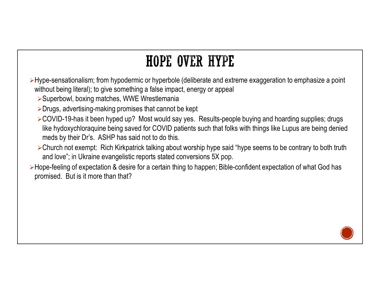- Hype-sensationalism; from hypodermic or hyperbole (deliberate and extreme exaggeration to emphasize a point without being literal); to give something a false impact, energy or appeal
	- ▶ Superbowl, boxing matches, WWE Wrestlemania
	- **≻Drugs, advertising-making promises that cannot be kept**
- ►COVID-19-has it been hyped up? Most would say yes. Results-people buying and hoarding supplies; drugs **HOPE OVER HYPE**<br>pe-sensationalism; from hypodermic or hyperbole (deliberate and extreme exaggeration to emphasize a point<br>hout being literal); to give something a false impact, energy or appeal<br>Superbowl, boxing matches, meds by their Dr's. ASHP has said not to do this.
	- Church not exempt: Rich Kirkpatrick talking about worship hype said "hype seems to be contrary to both truth and love"; in Ukraine evangelistic reports stated conversions 5X pop.
- ► Hope-feeling of expectation & desire for a certain thing to happen; Bible-confident expectation of what God has promised. But is it more than that?